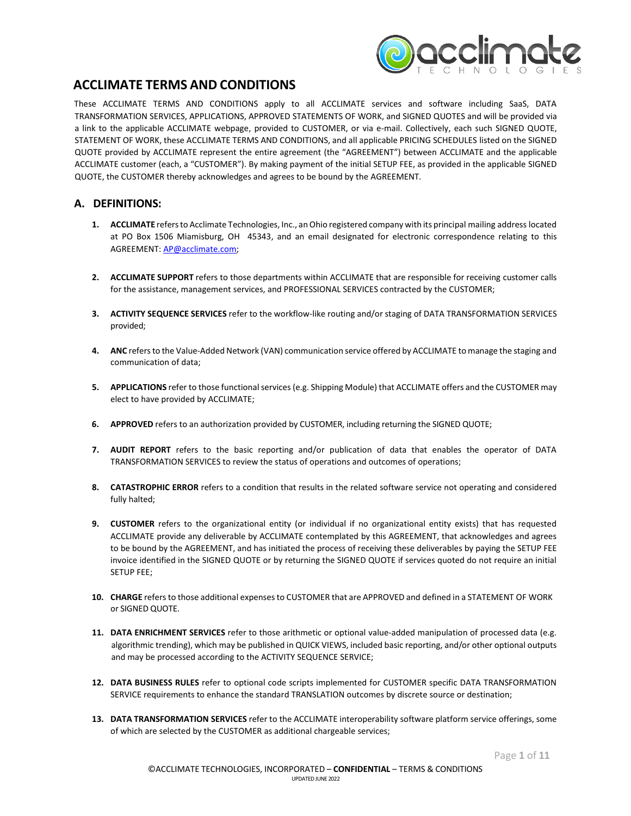

#### **ACCLIMATE TERMS AND CONDITIONS**

These ACCLIMATE TERMS AND CONDITIONS apply to all ACCLIMATE services and software including SaaS, DATA TRANSFORMATION SERVICES, APPLICATIONS, APPROVED STATEMENTS OF WORK, and SIGNED QUOTES and will be provided via a link to the applicable ACCLIMATE webpage, provided to CUSTOMER, or via e-mail. Collectively, each such SIGNED QUOTE, STATEMENT OF WORK, these ACCLIMATE TERMS AND CONDITIONS, and all applicable PRICING SCHEDULES listed on the SIGNED QUOTE provided by ACCLIMATE represent the entire agreement (the "AGREEMENT") between ACCLIMATE and the applicable ACCLIMATE customer (each, a "CUSTOMER"). By making payment of the initial SETUP FEE, as provided in the applicable SIGNED QUOTE, the CUSTOMER thereby acknowledges and agrees to be bound by the AGREEMENT.

#### **A. DEFINITIONS:**

- 1. ACCLIMATE refers to Acclimate Technologies, Inc., an Ohio registered company with its principal mailing address located at PO Box 1506 Miamisburg, OH 45343, and an email designated for electronic correspondence relating to this AGREEMENT: [AP@acclimate.com;](mailto:AP@acclimate.com)
- **2. ACCLIMATE SUPPORT** refers to those departments within ACCLIMATE that are responsible for receiving customer calls for the assistance, management services, and PROFESSIONAL SERVICES contracted by the CUSTOMER;
- **3. ACTIVITY SEQUENCE SERVICES** refer to the workflow-like routing and/or staging of DATA TRANSFORMATION SERVICES provided;
- **4. ANC** refersto the Value-Added Network (VAN) communication service offered by ACCLIMATE to manage the staging and communication of data;
- **5.** APPLICATIONS refer to those functional services (e.g. Shipping Module) that ACCLIMATE offers and the CUSTOMER may elect to have provided by ACCLIMATE;
- **6. APPROVED** refers to an authorization provided by CUSTOMER, including returning the SIGNED QUOTE;
- **7. AUDIT REPORT** refers to the basic reporting and/or publication of data that enables the operator of DATA TRANSFORMATION SERVICES to review the status of operations and outcomes of operations;
- **8. CATASTROPHIC ERROR** refers to a condition that results in the related software service not operating and considered fully halted;
- **9. CUSTOMER** refers to the organizational entity (or individual if no organizational entity exists) that has requested ACCLIMATE provide any deliverable by ACCLIMATE contemplated by this AGREEMENT, that acknowledges and agrees to be bound by the AGREEMENT, and has initiated the process of receiving these deliverables by paying the SETUP FEE invoice identified in the SIGNED QUOTE or by returning the SIGNED QUOTE if services quoted do not require an initial SETUP FEE;
- **10. CHARGE** refersto those additional expensesto CUSTOMER that are APPROVED and defined in a STATEMENT OF WORK or SIGNED QUOTE.
- **11. DATA ENRICHMENT SERVICES** refer to those arithmetic or optional value-added manipulation of processed data (e.g. algorithmic trending), which may be published in QUICK VIEWS, included basic reporting, and/or other optional outputs and may be processed according to the ACTIVITY SEQUENCE SERVICE;
- **12. DATA BUSINESS RULES** refer to optional code scripts implemented for CUSTOMER specific DATA TRANSFORMATION SERVICE requirements to enhance the standard TRANSLATION outcomes by discrete source or destination;
- **13. DATA TRANSFORMATION SERVICES** refer to the ACCLIMATE interoperability software platform service offerings, some of which are selected by the CUSTOMER as additional chargeable services;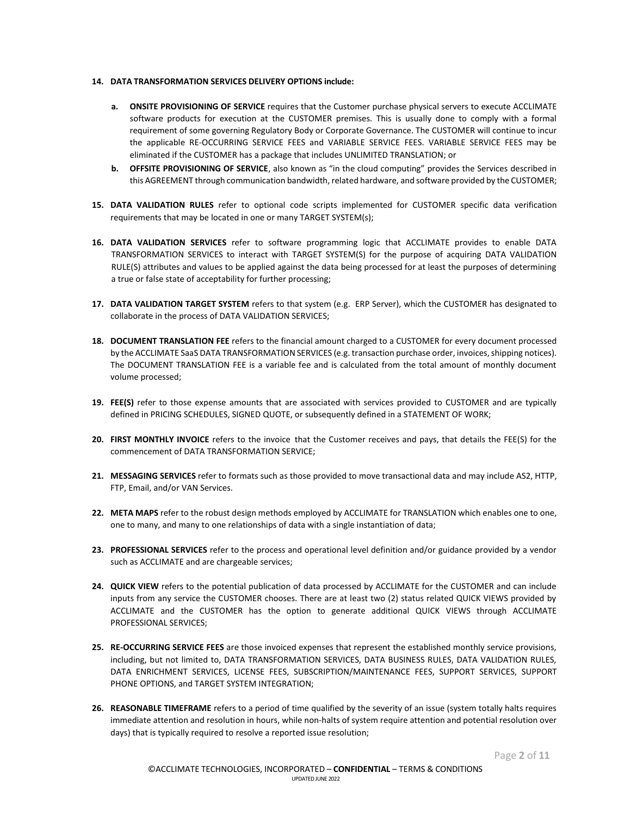#### **14. DATA TRANSFORMATION SERVICES DELIVERY OPTIONS include:**

- **a. ONSITE PROVISIONING OF SERVICE** requires that the Customer purchase physical servers to execute ACCLIMATE software products for execution at the CUSTOMER premises. This is usually done to comply with a formal requirement of some governing Regulatory Body or Corporate Governance. The CUSTOMER will continue to incur the applicable RE-OCCURRING SERVICE FEES and VARIABLE SERVICE FEES. VARIABLE SERVICE FEES may be eliminated if the CUSTOMER has a package that includes UNLIMITED TRANSLATION; or
- **b. OFFSITE PROVISIONING OF SERVICE**, also known as "in the cloud computing" provides the Services described in this AGREEMENT through communication bandwidth, related hardware, and software provided by the CUSTOMER;
- **15. DATA VALIDATION RULES** refer to optional code scripts implemented for CUSTOMER specific data verification requirements that may be located in one or many TARGET SYSTEM(s);
- **16. DATA VALIDATION SERVICES** refer to software programming logic that ACCLIMATE provides to enable DATA TRANSFORMATION SERVICES to interact with TARGET SYSTEM(S) for the purpose of acquiring DATA VALIDATION RULE(S) attributes and values to be applied against the data being processed for at least the purposes of determining a true or false state of acceptability for further processing;
- **17. DATA VALIDATION TARGET SYSTEM** refers to that system (e.g. ERP Server), which the CUSTOMER has designated to collaborate in the process of DATA VALIDATION SERVICES;
- **18. DOCUMENT TRANSLATION FEE** refers to the financial amount charged to a CUSTOMER for every document processed by the ACCLIMATE SaaS DATA TRANSFORMATION SERVICES (e.g. transaction purchase order, invoices, shipping notices). The DOCUMENT TRANSLATION FEE is a variable fee and is calculated from the total amount of monthly document volume processed;
- **19. FEE(S)** refer to those expense amounts that are associated with services provided to CUSTOMER and are typically defined in PRICING SCHEDULES, SIGNED QUOTE, or subsequently defined in a STATEMENT OF WORK;
- **20. FIRST MONTHLY INVOICE** refers to the invoice that the Customer receives and pays, that details the FEE(S) for the commencement of DATA TRANSFORMATION SERVICE;
- **21. MESSAGING SERVICES** refer to formats such as those provided to move transactional data and may include AS2, HTTP, FTP, Email, and/or VAN Services.
- **22. META MAPS** refer to the robust design methods employed by ACCLIMATE for TRANSLATION which enables one to one, one to many, and many to one relationships of data with a single instantiation of data;
- **23. PROFESSIONAL SERVICES** refer to the process and operational level definition and/or guidance provided by a vendor such as ACCLIMATE and are chargeable services;
- **24. QUICK VIEW** refers to the potential publication of data processed by ACCLIMATE for the CUSTOMER and can include inputs from any service the CUSTOMER chooses. There are at least two (2) status related QUICK VIEWS provided by ACCLIMATE and the CUSTOMER has the option to generate additional QUICK VIEWS through ACCLIMATE PROFESSIONAL SERVICES;
- **25. RE-OCCURRING SERVICE FEES** are those invoiced expenses that represent the established monthly service provisions, including, but not limited to, DATA TRANSFORMATION SERVICES, DATA BUSINESS RULES, DATA VALIDATION RULES, DATA ENRICHMENT SERVICES, LICENSE FEES, SUBSCRIPTION/MAINTENANCE FEES, SUPPORT SERVICES, SUPPORT PHONE OPTIONS, and TARGET SYSTEM INTEGRATION;
- **26. REASONABLE TIMEFRAME** refers to a period of time qualified by the severity of an issue (system totally halts requires immediate attention and resolution in hours, while non-halts of system require attention and potential resolution over days) that is typically required to resolve a reported issue resolution;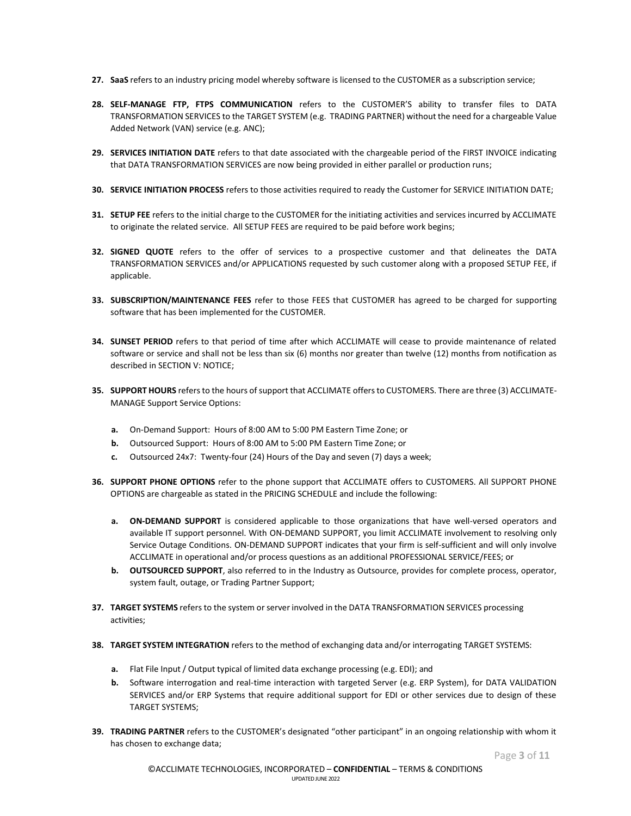- **27. SaaS** refers to an industry pricing model whereby software is licensed to the CUSTOMER as a subscription service;
- **28. SELF-MANAGE FTP, FTPS COMMUNICATION** refers to the CUSTOMER'S ability to transfer files to DATA TRANSFORMATION SERVICES to the TARGET SYSTEM (e.g. TRADING PARTNER) without the need for a chargeable Value Added Network (VAN) service (e.g. ANC);
- **29. SERVICES INITIATION DATE** refers to that date associated with the chargeable period of the FIRST INVOICE indicating that DATA TRANSFORMATION SERVICES are now being provided in either parallel or production runs;
- **30. SERVICE INITIATION PROCESS** refers to those activities required to ready the Customer for SERVICE INITIATION DATE;
- **31. SETUP FEE** refers to the initial charge to the CUSTOMER for the initiating activities and services incurred by ACCLIMATE to originate the related service. All SETUP FEES are required to be paid before work begins;
- **32. SIGNED QUOTE** refers to the offer of services to a prospective customer and that delineates the DATA TRANSFORMATION SERVICES and/or APPLICATIONS requested by such customer along with a proposed SETUP FEE, if applicable.
- **33. SUBSCRIPTION/MAINTENANCE FEES** refer to those FEES that CUSTOMER has agreed to be charged for supporting software that has been implemented for the CUSTOMER.
- **34. SUNSET PERIOD** refers to that period of time after which ACCLIMATE will cease to provide maintenance of related software or service and shall not be less than six (6) months nor greater than twelve (12) months from notification as described in SECTION V: NOTICE;
- **35. SUPPORT HOURS** refersto the hours ofsupport that ACCLIMATE offersto CUSTOMERS. There are three (3) ACCLIMATE-MANAGE Support Service Options:
	- **a.** On-Demand Support: Hours of 8:00 AM to 5:00 PM Eastern Time Zone; or
	- **b.** Outsourced Support: Hours of 8:00 AM to 5:00 PM Eastern Time Zone; or
	- **c.** Outsourced 24x7: Twenty-four (24) Hours of the Day and seven (7) days a week;
- **36. SUPPORT PHONE OPTIONS** refer to the phone support that ACCLIMATE offers to CUSTOMERS. All SUPPORT PHONE OPTIONS are chargeable as stated in the PRICING SCHEDULE and include the following:
	- **a. ON-DEMAND SUPPORT** is considered applicable to those organizations that have well-versed operators and available IT support personnel. With ON-DEMAND SUPPORT, you limit ACCLIMATE involvement to resolving only Service Outage Conditions. ON-DEMAND SUPPORT indicates that your firm is self-sufficient and will only involve ACCLIMATE in operational and/or process questions as an additional PROFESSIONAL SERVICE/FEES; or
	- **b. OUTSOURCED SUPPORT**, also referred to in the Industry as Outsource, provides for complete process, operator, system fault, outage, or Trading Partner Support;
- **37. TARGET SYSTEMS** refers to the system or server involved in the DATA TRANSFORMATION SERVICES processing activities;
- **38. TARGET SYSTEM INTEGRATION** refers to the method of exchanging data and/or interrogating TARGET SYSTEMS:
	- **a.** Flat File Input / Output typical of limited data exchange processing (e.g. EDI); and
	- **b.** Software interrogation and real-time interaction with targeted Server (e.g. ERP System), for DATA VALIDATION SERVICES and/or ERP Systems that require additional support for EDI or other services due to design of these TARGET SYSTEMS;
- **39. TRADING PARTNER** refers to the CUSTOMER's designated "other participant" in an ongoing relationship with whom it has chosen to exchange data;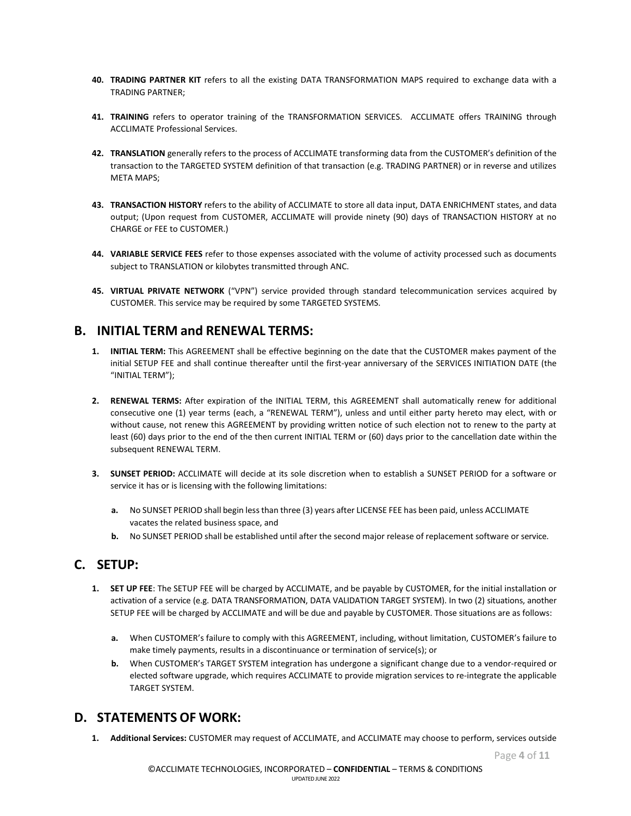- **40. TRADING PARTNER KIT** refers to all the existing DATA TRANSFORMATION MAPS required to exchange data with a TRADING PARTNER;
- **41. TRAINING** refers to operator training of the TRANSFORMATION SERVICES. ACCLIMATE offers TRAINING through ACCLIMATE Professional Services.
- **42. TRANSLATION** generally refers to the process of ACCLIMATE transforming data from the CUSTOMER's definition of the transaction to the TARGETED SYSTEM definition of that transaction (e.g. TRADING PARTNER) or in reverse and utilizes META MAPS;
- **43. TRANSACTION HISTORY** refers to the ability of ACCLIMATE to store all data input, DATA ENRICHMENT states, and data output; (Upon request from CUSTOMER, ACCLIMATE will provide ninety (90) days of TRANSACTION HISTORY at no CHARGE or FEE to CUSTOMER.)
- **44. VARIABLE SERVICE FEES** refer to those expenses associated with the volume of activity processed such as documents subject to TRANSLATION or kilobytes transmitted through ANC.
- **45. VIRTUAL PRIVATE NETWORK** ("VPN") service provided through standard telecommunication services acquired by CUSTOMER. This service may be required by some TARGETED SYSTEMS.

#### **B. INITIAL TERM and RENEWAL TERMS:**

- **1. INITIAL TERM:** This AGREEMENT shall be effective beginning on the date that the CUSTOMER makes payment of the initial SETUP FEE and shall continue thereafter until the first-year anniversary of the SERVICES INITIATION DATE (the "INITIAL TERM");
- **2. RENEWAL TERMS:** After expiration of the INITIAL TERM, this AGREEMENT shall automatically renew for additional consecutive one (1) year terms (each, a "RENEWAL TERM"), unless and until either party hereto may elect, with or without cause, not renew this AGREEMENT by providing written notice of such election not to renew to the party at least (60) days prior to the end of the then current INITIAL TERM or (60) days prior to the cancellation date within the subsequent RENEWAL TERM.
- **3. SUNSET PERIOD:** ACCLIMATE will decide at its sole discretion when to establish a SUNSET PERIOD for a software or service it has or is licensing with the following limitations:
	- **a.** No SUNSET PERIOD shall begin lessthan three (3) years after LICENSE FEE has been paid, unless ACCLIMATE vacates the related business space, and
	- **b.** No SUNSET PERIOD shall be established until after the second major release of replacement software or service.

#### **C. SETUP:**

- **1. SET UP FEE**: The SETUP FEE will be charged by ACCLIMATE, and be payable by CUSTOMER, for the initial installation or activation of a service (e.g. DATA TRANSFORMATION, DATA VALIDATION TARGET SYSTEM). In two (2) situations, another SETUP FEE will be charged by ACCLIMATE and will be due and payable by CUSTOMER. Those situations are as follows:
	- **a.** When CUSTOMER's failure to comply with this AGREEMENT, including, without limitation, CUSTOMER's failure to make timely payments, results in a discontinuance or termination of service(s); or
	- **b.** When CUSTOMER's TARGET SYSTEM integration has undergone a significant change due to a vendor-required or elected software upgrade, which requires ACCLIMATE to provide migration services to re-integrate the applicable TARGET SYSTEM.

#### **D. STATEMENTS OF WORK:**

**1. Additional Services:** CUSTOMER may request of ACCLIMATE, and ACCLIMATE may choose to perform, services outside

Page **4** of **11**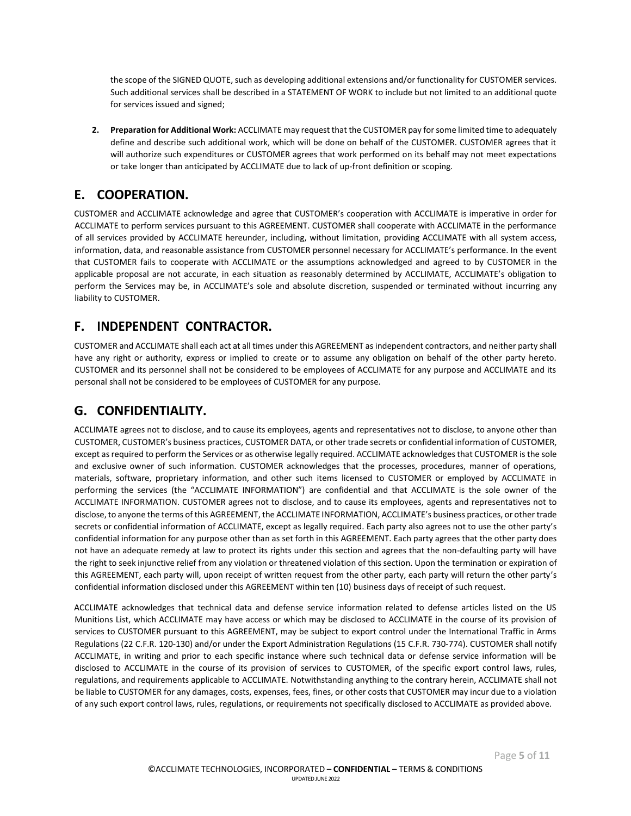the scope of the SIGNED QUOTE, such as developing additional extensions and/or functionality for CUSTOMER services. Such additional services shall be described in a STATEMENT OF WORK to include but not limited to an additional quote for services issued and signed;

**2. Preparation for Additional Work:** ACCLIMATE may request that the CUSTOMER pay forsome limited time to adequately define and describe such additional work, which will be done on behalf of the CUSTOMER. CUSTOMER agrees that it will authorize such expenditures or CUSTOMER agrees that work performed on its behalf may not meet expectations or take longer than anticipated by ACCLIMATE due to lack of up-front definition or scoping.

#### **E. COOPERATION.**

CUSTOMER and ACCLIMATE acknowledge and agree that CUSTOMER's cooperation with ACCLIMATE is imperative in order for ACCLIMATE to perform services pursuant to this AGREEMENT. CUSTOMER shall cooperate with ACCLIMATE in the performance of all services provided by ACCLIMATE hereunder, including, without limitation, providing ACCLIMATE with all system access, information, data, and reasonable assistance from CUSTOMER personnel necessary for ACCLIMATE's performance. In the event that CUSTOMER fails to cooperate with ACCLIMATE or the assumptions acknowledged and agreed to by CUSTOMER in the applicable proposal are not accurate, in each situation as reasonably determined by ACCLIMATE, ACCLIMATE's obligation to perform the Services may be, in ACCLIMATE's sole and absolute discretion, suspended or terminated without incurring any liability to CUSTOMER.

## **F. INDEPENDENT CONTRACTOR.**

CUSTOMER and ACCLIMATE shall each act at all times under this AGREEMENT as independent contractors, and neither party shall have any right or authority, express or implied to create or to assume any obligation on behalf of the other party hereto. CUSTOMER and its personnel shall not be considered to be employees of ACCLIMATE for any purpose and ACCLIMATE and its personal shall not be considered to be employees of CUSTOMER for any purpose.

## **G. CONFIDENTIALITY.**

ACCLIMATE agrees not to disclose, and to cause its employees, agents and representatives not to disclose, to anyone other than CUSTOMER, CUSTOMER's business practices, CUSTOMER DATA, or other trade secrets or confidential information of CUSTOMER, except as required to perform the Services or as otherwise legally required. ACCLIMATE acknowledges that CUSTOMER is the sole and exclusive owner of such information. CUSTOMER acknowledges that the processes, procedures, manner of operations, materials, software, proprietary information, and other such items licensed to CUSTOMER or employed by ACCLIMATE in performing the services (the "ACCLIMATE INFORMATION") are confidential and that ACCLIMATE is the sole owner of the ACCLIMATE INFORMATION. CUSTOMER agrees not to disclose, and to cause its employees, agents and representatives not to disclose, to anyone the terms of this AGREEMENT, the ACCLIMATE INFORMATION, ACCLIMATE's business practices, or other trade secrets or confidential information of ACCLIMATE, except as legally required. Each party also agrees not to use the other party's confidential information for any purpose other than as set forth in this AGREEMENT. Each party agrees that the other party does not have an adequate remedy at law to protect its rights under this section and agrees that the non-defaulting party will have the right to seek injunctive relief from any violation or threatened violation of this section. Upon the termination or expiration of this AGREEMENT, each party will, upon receipt of written request from the other party, each party will return the other party's confidential information disclosed under this AGREEMENT within ten (10) business days of receipt of such request.

ACCLIMATE acknowledges that technical data and defense service information related to defense articles listed on the US Munitions List, which ACCLIMATE may have access or which may be disclosed to ACCLIMATE in the course of its provision of services to CUSTOMER pursuant to this AGREEMENT, may be subject to export control under the International Traffic in Arms Regulations (22 C.F.R. 120-130) and/or under the Export Administration Regulations (15 C.F.R. 730-774). CUSTOMER shall notify ACCLIMATE, in writing and prior to each specific instance where such technical data or defense service information will be disclosed to ACCLIMATE in the course of its provision of services to CUSTOMER, of the specific export control laws, rules, regulations, and requirements applicable to ACCLIMATE. Notwithstanding anything to the contrary herein, ACCLIMATE shall not be liable to CUSTOMER for any damages, costs, expenses, fees, fines, or other costs that CUSTOMER may incur due to a violation of any such export control laws, rules, regulations, or requirements not specifically disclosed to ACCLIMATE as provided above.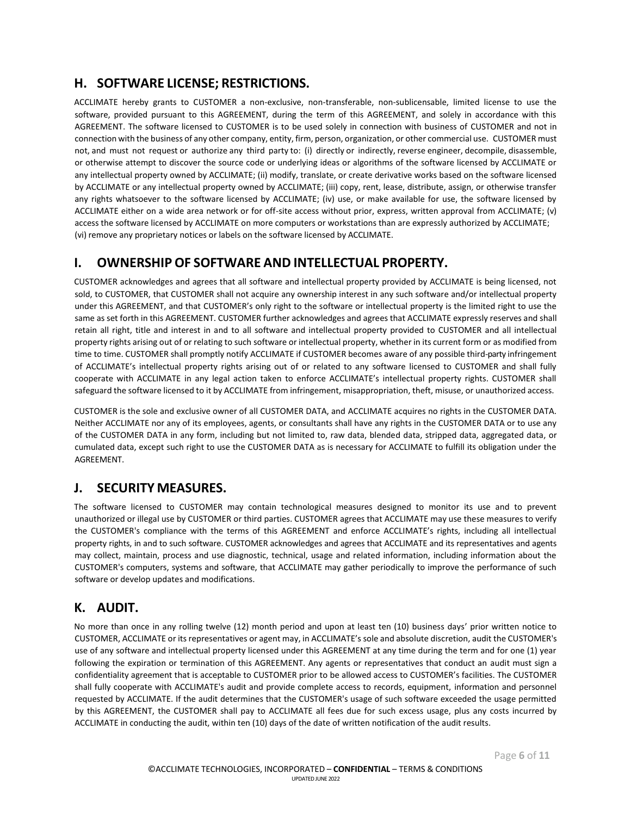## **H. SOFTWARE LICENSE; RESTRICTIONS.**

ACCLIMATE hereby grants to CUSTOMER a non-exclusive, non-transferable, non-sublicensable, limited license to use the software, provided pursuant to this AGREEMENT, during the term of this AGREEMENT, and solely in accordance with this AGREEMENT. The software licensed to CUSTOMER is to be used solely in connection with business of CUSTOMER and not in connection with the business of any other company, entity, firm, person, organization, or other commercial use. CUSTOMER must not, and must not request or authorize any third party to: (i) directly or indirectly, reverse engineer, decompile, disassemble, or otherwise attempt to discover the source code or underlying ideas or algorithms of the software licensed by ACCLIMATE or any intellectual property owned by ACCLIMATE; (ii) modify, translate, or create derivative works based on the software licensed by ACCLIMATE or any intellectual property owned by ACCLIMATE; (iii) copy, rent, lease, distribute, assign, or otherwise transfer any rights whatsoever to the software licensed by ACCLIMATE; (iv) use, or make available for use, the software licensed by ACCLIMATE either on a wide area network or for off-site access without prior, express, written approval from ACCLIMATE; (v) access the software licensed by ACCLIMATE on more computers or workstations than are expressly authorized by ACCLIMATE; (vi) remove any proprietary notices or labels on the software licensed by ACCLIMATE.

#### **I. OWNERSHIP OF SOFTWARE AND INTELLECTUAL PROPERTY.**

CUSTOMER acknowledges and agrees that all software and intellectual property provided by ACCLIMATE is being licensed, not sold, to CUSTOMER, that CUSTOMER shall not acquire any ownership interest in any such software and/or intellectual property under this AGREEMENT, and that CUSTOMER's only right to the software or intellectual property is the limited right to use the same as set forth in this AGREEMENT. CUSTOMER further acknowledges and agrees that ACCLIMATE expressly reserves and shall retain all right, title and interest in and to all software and intellectual property provided to CUSTOMER and all intellectual property rights arising out of or relating to such software or intellectual property, whether in its current form or as modified from time to time. CUSTOMER shall promptly notify ACCLIMATE if CUSTOMER becomes aware of any possible third-party infringement of ACCLIMATE's intellectual property rights arising out of or related to any software licensed to CUSTOMER and shall fully cooperate with ACCLIMATE in any legal action taken to enforce ACCLIMATE's intellectual property rights. CUSTOMER shall safeguard the software licensed to it by ACCLIMATE from infringement, misappropriation, theft, misuse, or unauthorized access.

CUSTOMER is the sole and exclusive owner of all CUSTOMER DATA, and ACCLIMATE acquires no rights in the CUSTOMER DATA. Neither ACCLIMATE nor any of its employees, agents, or consultants shall have any rights in the CUSTOMER DATA or to use any of the CUSTOMER DATA in any form, including but not limited to, raw data, blended data, stripped data, aggregated data, or cumulated data, except such right to use the CUSTOMER DATA as is necessary for ACCLIMATE to fulfill its obligation under the AGREEMENT.

#### **J. SECURITY MEASURES.**

The software licensed to CUSTOMER may contain technological measures designed to monitor its use and to prevent unauthorized or illegal use by CUSTOMER or third parties. CUSTOMER agrees that ACCLIMATE may use these measures to verify the CUSTOMER's compliance with the terms of this AGREEMENT and enforce ACCLIMATE's rights, including all intellectual property rights, in and to such software. CUSTOMER acknowledges and agrees that ACCLIMATE and its representatives and agents may collect, maintain, process and use diagnostic, technical, usage and related information, including information about the CUSTOMER's computers, systems and software, that ACCLIMATE may gather periodically to improve the performance of such software or develop updates and modifications.

## **K. AUDIT.**

No more than once in any rolling twelve (12) month period and upon at least ten (10) business days' prior written notice to CUSTOMER, ACCLIMATE or itsrepresentatives or agent may, in ACCLIMATE's sole and absolute discretion, audit the CUSTOMER's use of any software and intellectual property licensed under this AGREEMENT at any time during the term and for one (1) year following the expiration or termination of this AGREEMENT. Any agents or representatives that conduct an audit must sign a confidentiality agreement that is acceptable to CUSTOMER prior to be allowed access to CUSTOMER's facilities. The CUSTOMER shall fully cooperate with ACCLIMATE's audit and provide complete access to records, equipment, information and personnel requested by ACCLIMATE. If the audit determines that the CUSTOMER's usage of such software exceeded the usage permitted by this AGREEMENT, the CUSTOMER shall pay to ACCLIMATE all fees due for such excess usage, plus any costs incurred by ACCLIMATE in conducting the audit, within ten (10) days of the date of written notification of the audit results.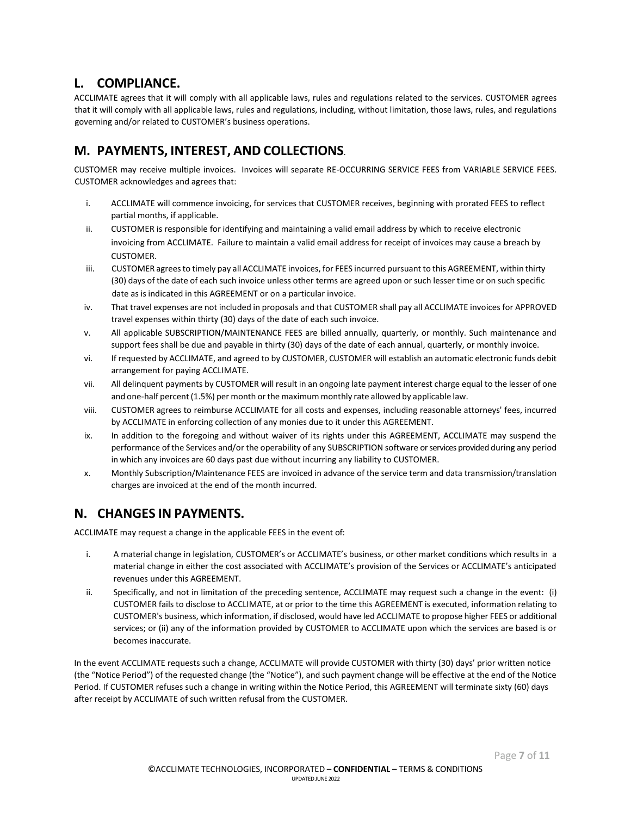## **L. COMPLIANCE.**

ACCLIMATE agrees that it will comply with all applicable laws, rules and regulations related to the services. CUSTOMER agrees that it will comply with all applicable laws, rules and regulations, including, without limitation, those laws, rules, and regulations governing and/or related to CUSTOMER's business operations.

## **M. PAYMENTS, INTEREST, AND COLLECTIONS**.

CUSTOMER may receive multiple invoices. Invoices will separate RE-OCCURRING SERVICE FEES from VARIABLE SERVICE FEES. CUSTOMER acknowledges and agrees that:

- i. ACCLIMATE will commence invoicing, for services that CUSTOMER receives, beginning with prorated FEES to reflect partial months, if applicable.
- ii. CUSTOMER is responsible for identifying and maintaining a valid email address by which to receive electronic invoicing from ACCLIMATE. Failure to maintain a valid email address for receipt of invoices may cause a breach by CUSTOMER.
- iii. CUSTOMER agreesto timely pay all ACCLIMATE invoices, for FEES incurred pursuant to this AGREEMENT, within thirty (30) days of the date of each such invoice unless other terms are agreed upon or such lesser time or on such specific date as is indicated in this AGREEMENT or on a particular invoice.
- iv. That travel expenses are not included in proposals and that CUSTOMER shall pay all ACCLIMATE invoices for APPROVED travel expenses within thirty (30) days of the date of each such invoice.
- v. All applicable SUBSCRIPTION/MAINTENANCE FEES are billed annually, quarterly, or monthly. Such maintenance and support fees shall be due and payable in thirty (30) days of the date of each annual, quarterly, or monthly invoice.
- vi. If requested by ACCLIMATE, and agreed to by CUSTOMER, CUSTOMER will establish an automatic electronic funds debit arrangement for paying ACCLIMATE.
- vii. All delinquent payments by CUSTOMER will result in an ongoing late payment interest charge equal to the lesser of one and one-half percent (1.5%) per month or the maximum monthly rate allowed by applicable law.
- viii. CUSTOMER agrees to reimburse ACCLIMATE for all costs and expenses, including reasonable attorneys' fees, incurred by ACCLIMATE in enforcing collection of any monies due to it under this AGREEMENT.
- ix. In addition to the foregoing and without waiver of its rights under this AGREEMENT, ACCLIMATE may suspend the performance of the Services and/or the operability of any SUBSCRIPTION software or services provided during any period in which any invoices are 60 days past due without incurring any liability to CUSTOMER.
- x. Monthly Subscription/Maintenance FEES are invoiced in advance of the service term and data transmission/translation charges are invoiced at the end of the month incurred.

#### **N. CHANGES IN PAYMENTS.**

ACCLIMATE may request a change in the applicable FEES in the event of:

- i. A material change in legislation, CUSTOMER's or ACCLIMATE's business, or other market conditions which results in a material change in either the cost associated with ACCLIMATE's provision of the Services or ACCLIMATE's anticipated revenues under this AGREEMENT.
- ii. Specifically, and not in limitation of the preceding sentence, ACCLIMATE may request such a change in the event: (i) CUSTOMER fails to disclose to ACCLIMATE, at or prior to the time this AGREEMENT is executed, information relating to CUSTOMER's business, which information, if disclosed, would have led ACCLIMATE to propose higher FEES or additional services; or (ii) any of the information provided by CUSTOMER to ACCLIMATE upon which the services are based is or becomes inaccurate.

In the event ACCLIMATE requests such a change, ACCLIMATE will provide CUSTOMER with thirty (30) days' prior written notice (the "Notice Period") of the requested change (the "Notice"), and such payment change will be effective at the end of the Notice Period. If CUSTOMER refuses such a change in writing within the Notice Period, this AGREEMENT will terminate sixty (60) days after receipt by ACCLIMATE of such written refusal from the CUSTOMER.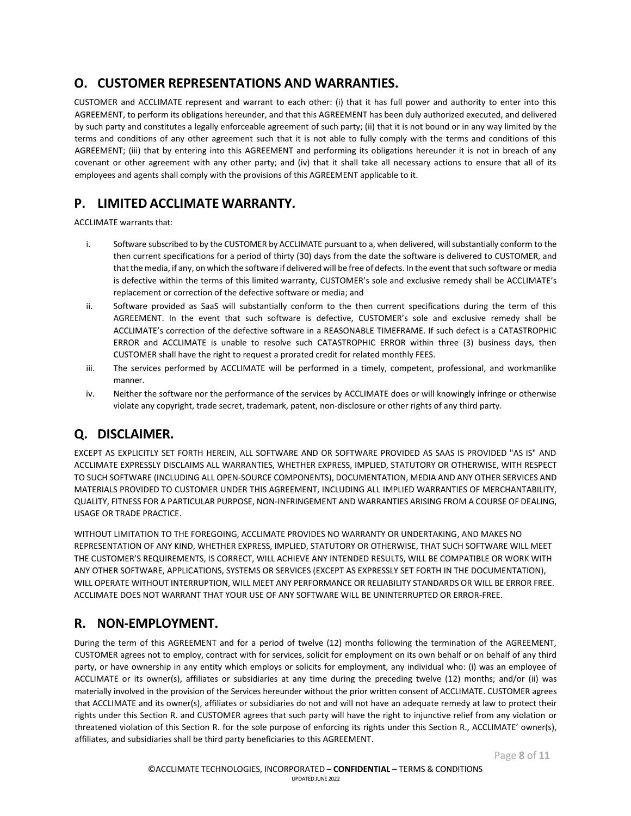## **O. CUSTOMER REPRESENTATIONS AND WARRANTIES.**

CUSTOMER and ACCLIMATE represent and warrant to each other: (i) that it has full power and authority to enter into this AGREEMENT, to perform its obligations hereunder, and that this AGREEMENT has been duly authorized executed, and delivered by such party and constitutes a legally enforceable agreement of such party; (ii) that it is not bound or in any way limited by the terms and conditions of any other agreement such that it is not able to fully comply with the terms and conditions of this AGREEMENT; (iii) that by entering into this AGREEMENT and performing its obligations hereunder it is not in breach of any covenant or other agreement with any other party; and (iv) that it shall take all necessary actions to ensure that all of its employees and agents shall comply with the provisions of this AGREEMENT applicable to it.

## **P. LIMITED ACCLIMATE WARRANTY.**

ACCLIMATE warrants that:

- i. Software subscribed to by the CUSTOMER by ACCLIMATE pursuant to a, when delivered, will substantially conform to the then current specifications for a period of thirty (30) days from the date the software is delivered to CUSTOMER, and that the media, if any, on which the software if delivered will be free of defects. In the event that such software or media is defective within the terms of this limited warranty, CUSTOMER's sole and exclusive remedy shall be ACCLIMATE's replacement or correction of the defective software or media; and
- ii. Software provided as SaaS will substantially conform to the then current specifications during the term of this AGREEMENT. In the event that such software is defective, CUSTOMER's sole and exclusive remedy shall be ACCLIMATE's correction of the defective software in a REASONABLE TIMEFRAME. If such defect is a CATASTROPHIC ERROR and ACCLIMATE is unable to resolve such CATASTROPHIC ERROR within three (3) business days, then CUSTOMER shall have the right to request a prorated credit for related monthly FEES.
- iii. The services performed by ACCLIMATE will be performed in a timely, competent, professional, and workmanlike manner.
- iv. Neither the software nor the performance of the services by ACCLIMATE does or will knowingly infringe or otherwise violate any copyright, trade secret, trademark, patent, non-disclosure or other rights of any third party.

## **Q. DISCLAIMER.**

EXCEPT AS EXPLICITLY SET FORTH HEREIN, ALL SOFTWARE AND OR SOFTWARE PROVIDED AS SAAS IS PROVIDED "AS IS" AND ACCLIMATE EXPRESSLY DISCLAIMS ALL WARRANTIES, WHETHER EXPRESS, IMPLIED, STATUTORY OR OTHERWISE, WITH RESPECT TO SUCH SOFTWARE (INCLUDING ALL OPEN-SOURCE COMPONENTS), DOCUMENTATION, MEDIA AND ANY OTHER SERVICES AND MATERIALS PROVIDED TO CUSTOMER UNDER THIS AGREEMENT, INCLUDING ALL IMPLIED WARRANTIES OF MERCHANTABILITY, QUALITY, FITNESS FOR A PARTICULAR PURPOSE, NON-INFRINGEMENT AND WARRANTIES ARISING FROM A COURSE OF DEALING, USAGE OR TRADE PRACTICE.

WITHOUT LIMITATION TO THE FOREGOING, ACCLIMATE PROVIDES NO WARRANTY OR UNDERTAKING, AND MAKES NO REPRESENTATION OF ANY KIND, WHETHER EXPRESS, IMPLIED, STATUTORY OR OTHERWISE, THAT SUCH SOFTWARE WILL MEET THE CUSTOMER'S REQUIREMENTS, IS CORRECT, WILL ACHIEVE ANY INTENDED RESULTS, WILL BE COMPATIBLE OR WORK WITH ANY OTHER SOFTWARE, APPLICATIONS, SYSTEMS OR SERVICES (EXCEPT AS EXPRESSLY SET FORTH IN THE DOCUMENTATION), WILL OPERATE WITHOUT INTERRUPTION, WILL MEET ANY PERFORMANCE OR RELIABILITY STANDARDS OR WILL BE ERROR FREE. ACCLIMATE DOES NOT WARRANT THAT YOUR USE OF ANY SOFTWARE WILL BE UNINTERRUPTED OR ERROR-FREE.

#### **R. NON-EMPLOYMENT.**

During the term of this AGREEMENT and for a period of twelve (12) months following the termination of the AGREEMENT, CUSTOMER agrees not to employ, contract with for services, solicit for employment on its own behalf or on behalf of any third party, or have ownership in any entity which employs or solicits for employment, any individual who: (i) was an employee of ACCLIMATE or its owner(s), affiliates or subsidiaries at any time during the preceding twelve (12) months; and/or (ii) was materially involved in the provision of the Services hereunder without the prior written consent of ACCLIMATE. CUSTOMER agrees that ACCLIMATE and its owner(s), affiliates or subsidiaries do not and will not have an adequate remedy at law to protect their rights under this Section R. and CUSTOMER agrees that such party will have the right to injunctive relief from any violation or threatened violation of this Section R. for the sole purpose of enforcing its rights under this Section R., ACCLIMATE' owner(s), affiliates, and subsidiaries shall be third party beneficiaries to this AGREEMENT.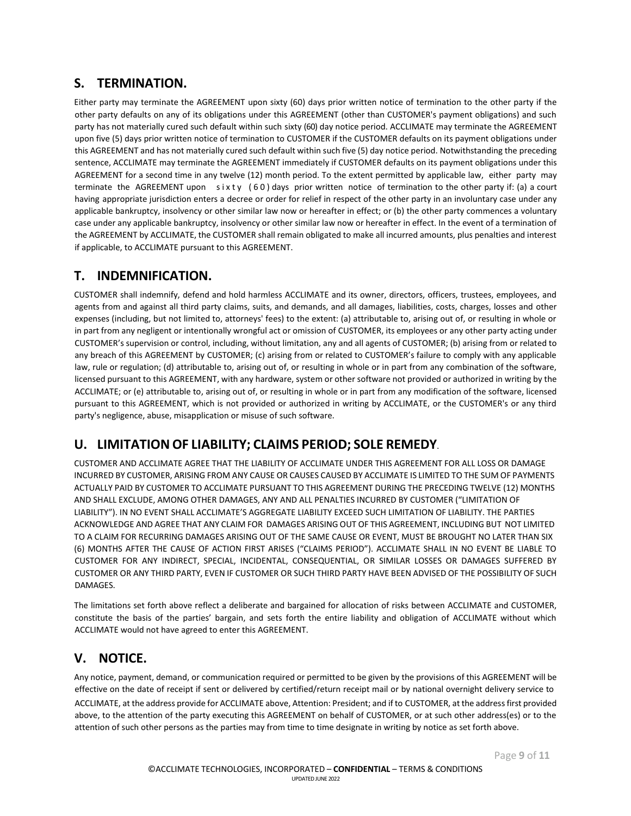## **S. TERMINATION.**

Either party may terminate the AGREEMENT upon sixty (60) days prior written notice of termination to the other party if the other party defaults on any of its obligations under this AGREEMENT (other than CUSTOMER's payment obligations) and such party has not materially cured such default within such sixty (60) day notice period. ACCLIMATE may terminate the AGREEMENT upon five (5) days prior written notice of termination to CUSTOMER if the CUSTOMER defaults on its payment obligations under this AGREEMENT and has not materially cured such default within such five (5) day notice period. Notwithstanding the preceding sentence, ACCLIMATE may terminate the AGREEMENT immediately if CUSTOMER defaults on its payment obligations under this AGREEMENT for a second time in any twelve (12) month period. To the extent permitted by applicable law, either party may terminate the AGREEMENT upon sixty  $(60)$  days prior written notice of termination to the other party if: (a) a court having appropriate jurisdiction enters a decree or order for relief in respect of the other party in an involuntary case under any applicable bankruptcy, insolvency or other similar law now or hereafter in effect; or (b) the other party commences a voluntary case under any applicable bankruptcy, insolvency or other similar law now or hereafter in effect. In the event of a termination of the AGREEMENT by ACCLIMATE, the CUSTOMER shall remain obligated to make all incurred amounts, plus penalties and interest if applicable, to ACCLIMATE pursuant to this AGREEMENT.

## **T. INDEMNIFICATION.**

CUSTOMER shall indemnify, defend and hold harmless ACCLIMATE and its owner, directors, officers, trustees, employees, and agents from and against all third party claims, suits, and demands, and all damages, liabilities, costs, charges, losses and other expenses (including, but not limited to, attorneys' fees) to the extent: (a) attributable to, arising out of, or resulting in whole or in part from any negligent or intentionally wrongful act or omission of CUSTOMER, its employees or any other party acting under CUSTOMER's supervision or control, including, without limitation, any and all agents of CUSTOMER; (b) arising from or related to any breach of this AGREEMENT by CUSTOMER; (c) arising from or related to CUSTOMER's failure to comply with any applicable law, rule or regulation; (d) attributable to, arising out of, or resulting in whole or in part from any combination of the software, licensed pursuant to this AGREEMENT, with any hardware, system or other software not provided or authorized in writing by the ACCLIMATE; or (e) attributable to, arising out of, or resulting in whole or in part from any modification of the software, licensed pursuant to this AGREEMENT, which is not provided or authorized in writing by ACCLIMATE, or the CUSTOMER's or any third party's negligence, abuse, misapplication or misuse of such software.

# **U. LIMITATIONOF LIABILITY; CLAIMS PERIOD; SOLE REMEDY**.

CUSTOMER AND ACCLIMATE AGREE THAT THE LIABILITY OF ACCLIMATE UNDER THIS AGREEMENT FOR ALL LOSS OR DAMAGE INCURRED BY CUSTOMER, ARISING FROM ANY CAUSE OR CAUSES CAUSED BY ACCLIMATE IS LIMITED TO THE SUM OF PAYMENTS ACTUALLY PAID BY CUSTOMER TO ACCLIMATE PURSUANT TO THIS AGREEMENT DURING THE PRECEDING TWELVE (12) MONTHS AND SHALL EXCLUDE, AMONG OTHER DAMAGES, ANY AND ALL PENALTIES INCURRED BY CUSTOMER ("LIMITATION OF LIABILITY"). IN NO EVENT SHALL ACCLIMATE'S AGGREGATE LIABILITY EXCEED SUCH LIMITATION OF LIABILITY. THE PARTIES ACKNOWLEDGE AND AGREE THAT ANY CLAIM FOR DAMAGES ARISING OUT OF THIS AGREEMENT, INCLUDING BUT NOT LIMITED TO A CLAIM FOR RECURRING DAMAGES ARISING OUT OF THE SAME CAUSE OR EVENT, MUST BE BROUGHT NO LATER THAN SIX (6) MONTHS AFTER THE CAUSE OF ACTION FIRST ARISES ("CLAIMS PERIOD"). ACCLIMATE SHALL IN NO EVENT BE LIABLE TO CUSTOMER FOR ANY INDIRECT, SPECIAL, INCIDENTAL, CONSEQUENTIAL, OR SIMILAR LOSSES OR DAMAGES SUFFERED BY CUSTOMER OR ANY THIRD PARTY, EVEN IF CUSTOMER OR SUCH THIRD PARTY HAVE BEEN ADVISED OF THE POSSIBILITY OF SUCH DAMAGES.

The limitations set forth above reflect a deliberate and bargained for allocation of risks between ACCLIMATE and CUSTOMER, constitute the basis of the parties' bargain, and sets forth the entire liability and obligation of ACCLIMATE without which ACCLIMATE would not have agreed to enter this AGREEMENT.

## **V. NOTICE.**

Any notice, payment, demand, or communication required or permitted to be given by the provisions of this AGREEMENT will be effective on the date of receipt if sent or delivered by certified/return receipt mail or by national overnight delivery service to ACCLIMATE, at the address provide for ACCLIMATE above, Attention: President; and if to CUSTOMER, at the address first provided above, to the attention of the party executing this AGREEMENT on behalf of CUSTOMER, or at such other address(es) or to the attention of such other persons as the parties may from time to time designate in writing by notice as set forth above.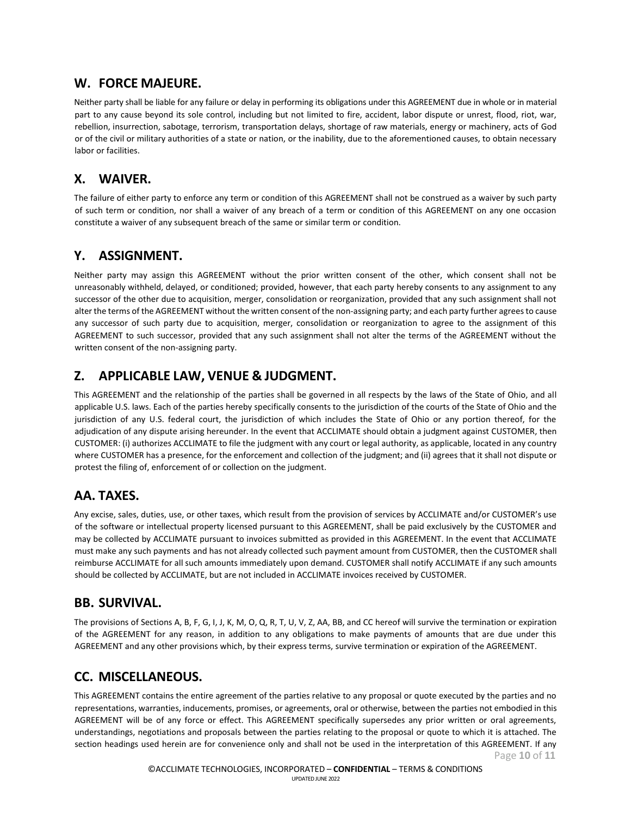## **W. FORCE MAJEURE.**

Neither party shall be liable for any failure or delay in performing its obligations under this AGREEMENT due in whole or in material part to any cause beyond its sole control, including but not limited to fire, accident, labor dispute or unrest, flood, riot, war, rebellion, insurrection, sabotage, terrorism, transportation delays, shortage of raw materials, energy or machinery, acts of God or of the civil or military authorities of a state or nation, or the inability, due to the aforementioned causes, to obtain necessary labor or facilities.

#### **X. WAIVER.**

The failure of either party to enforce any term or condition of this AGREEMENT shall not be construed as a waiver by such party of such term or condition, nor shall a waiver of any breach of a term or condition of this AGREEMENT on any one occasion constitute a waiver of any subsequent breach of the same or similar term or condition.

## **Y. ASSIGNMENT.**

Neither party may assign this AGREEMENT without the prior written consent of the other, which consent shall not be unreasonably withheld, delayed, or conditioned; provided, however, that each party hereby consents to any assignment to any successor of the other due to acquisition, merger, consolidation or reorganization, provided that any such assignment shall not alter the terms of the AGREEMENT without the written consent of the non-assigning party; and each party further agrees to cause any successor of such party due to acquisition, merger, consolidation or reorganization to agree to the assignment of this AGREEMENT to such successor, provided that any such assignment shall not alter the terms of the AGREEMENT without the written consent of the non-assigning party.

## **Z. APPLICABLE LAW, VENUE & JUDGMENT.**

This AGREEMENT and the relationship of the parties shall be governed in all respects by the laws of the State of Ohio, and all applicable U.S. laws. Each of the parties hereby specifically consents to the jurisdiction of the courts of the State of Ohio and the jurisdiction of any U.S. federal court, the jurisdiction of which includes the State of Ohio or any portion thereof, for the adjudication of any dispute arising hereunder. In the event that ACCLIMATE should obtain a judgment against CUSTOMER, then CUSTOMER: (i) authorizes ACCLIMATE to file the judgment with any court or legal authority, as applicable, located in any country where CUSTOMER has a presence, for the enforcement and collection of the judgment; and (ii) agrees that it shall not dispute or protest the filing of, enforcement of or collection on the judgment.

## **AA. TAXES.**

Any excise, sales, duties, use, or other taxes, which result from the provision of services by ACCLIMATE and/or CUSTOMER's use of the software or intellectual property licensed pursuant to this AGREEMENT, shall be paid exclusively by the CUSTOMER and may be collected by ACCLIMATE pursuant to invoices submitted as provided in this AGREEMENT. In the event that ACCLIMATE must make any such payments and has not already collected such payment amount from CUSTOMER, then the CUSTOMER shall reimburse ACCLIMATE for all such amounts immediately upon demand. CUSTOMER shall notify ACCLIMATE if any such amounts should be collected by ACCLIMATE, but are not included in ACCLIMATE invoices received by CUSTOMER.

## **BB. SURVIVAL.**

The provisions of Sections A, B, F, G, I, J, K, M, O, Q, R, T, U, V, Z, AA, BB, and CC hereof will survive the termination or expiration of the AGREEMENT for any reason, in addition to any obligations to make payments of amounts that are due under this AGREEMENT and any other provisions which, by their express terms, survive termination or expiration of the AGREEMENT.

## **CC. MISCELLANEOUS.**

Page **10** of **11** This AGREEMENT contains the entire agreement of the parties relative to any proposal or quote executed by the parties and no representations, warranties, inducements, promises, or agreements, oral or otherwise, between the parties not embodied in this AGREEMENT will be of any force or effect. This AGREEMENT specifically supersedes any prior written or oral agreements, understandings, negotiations and proposals between the parties relating to the proposal or quote to which it is attached. The section headings used herein are for convenience only and shall not be used in the interpretation of this AGREEMENT. If any